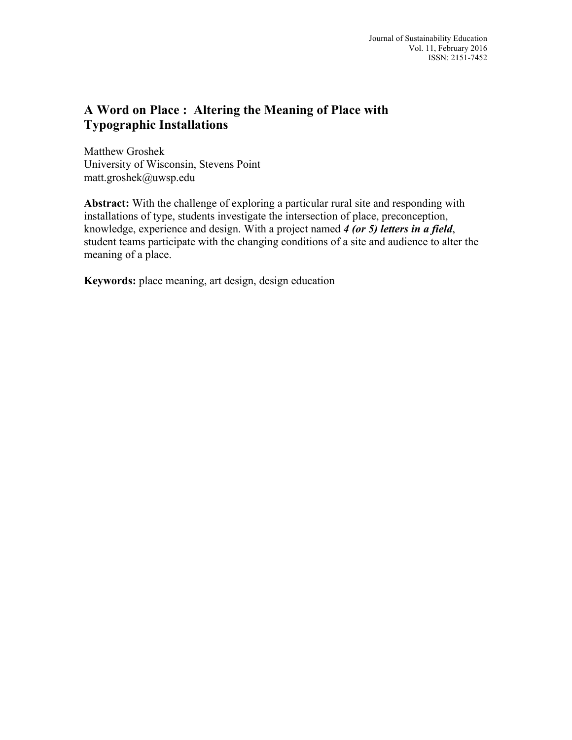# **A Word on Place : Altering the Meaning of Place with Typographic Installations**

Matthew Groshek University of Wisconsin, Stevens Point matt.groshek@uwsp.edu

**Abstract:** With the challenge of exploring a particular rural site and responding with installations of type, students investigate the intersection of place, preconception, knowledge, experience and design. With a project named *4 (or 5) letters in a field*, student teams participate with the changing conditions of a site and audience to alter the meaning of a place.

**Keywords:** place meaning, art design, design education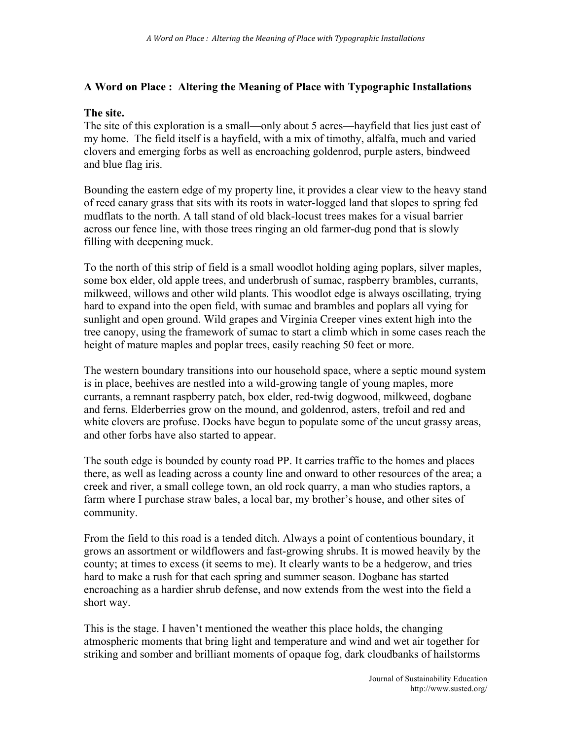## **A Word on Place : Altering the Meaning of Place with Typographic Installations**

#### **The site.**

The site of this exploration is a small—only about 5 acres—hayfield that lies just east of my home. The field itself is a hayfield, with a mix of timothy, alfalfa, much and varied clovers and emerging forbs as well as encroaching goldenrod, purple asters, bindweed and blue flag iris.

Bounding the eastern edge of my property line, it provides a clear view to the heavy stand of reed canary grass that sits with its roots in water-logged land that slopes to spring fed mudflats to the north. A tall stand of old black-locust trees makes for a visual barrier across our fence line, with those trees ringing an old farmer-dug pond that is slowly filling with deepening muck.

To the north of this strip of field is a small woodlot holding aging poplars, silver maples, some box elder, old apple trees, and underbrush of sumac, raspberry brambles, currants, milkweed, willows and other wild plants. This woodlot edge is always oscillating, trying hard to expand into the open field, with sumac and brambles and poplars all vying for sunlight and open ground. Wild grapes and Virginia Creeper vines extent high into the tree canopy, using the framework of sumac to start a climb which in some cases reach the height of mature maples and poplar trees, easily reaching 50 feet or more.

The western boundary transitions into our household space, where a septic mound system is in place, beehives are nestled into a wild-growing tangle of young maples, more currants, a remnant raspberry patch, box elder, red-twig dogwood, milkweed, dogbane and ferns. Elderberries grow on the mound, and goldenrod, asters, trefoil and red and white clovers are profuse. Docks have begun to populate some of the uncut grassy areas, and other forbs have also started to appear.

The south edge is bounded by county road PP. It carries traffic to the homes and places there, as well as leading across a county line and onward to other resources of the area; a creek and river, a small college town, an old rock quarry, a man who studies raptors, a farm where I purchase straw bales, a local bar, my brother's house, and other sites of community.

From the field to this road is a tended ditch. Always a point of contentious boundary, it grows an assortment or wildflowers and fast-growing shrubs. It is mowed heavily by the county; at times to excess (it seems to me). It clearly wants to be a hedgerow, and tries hard to make a rush for that each spring and summer season. Dogbane has started encroaching as a hardier shrub defense, and now extends from the west into the field a short way.

This is the stage. I haven't mentioned the weather this place holds, the changing atmospheric moments that bring light and temperature and wind and wet air together for striking and somber and brilliant moments of opaque fog, dark cloudbanks of hailstorms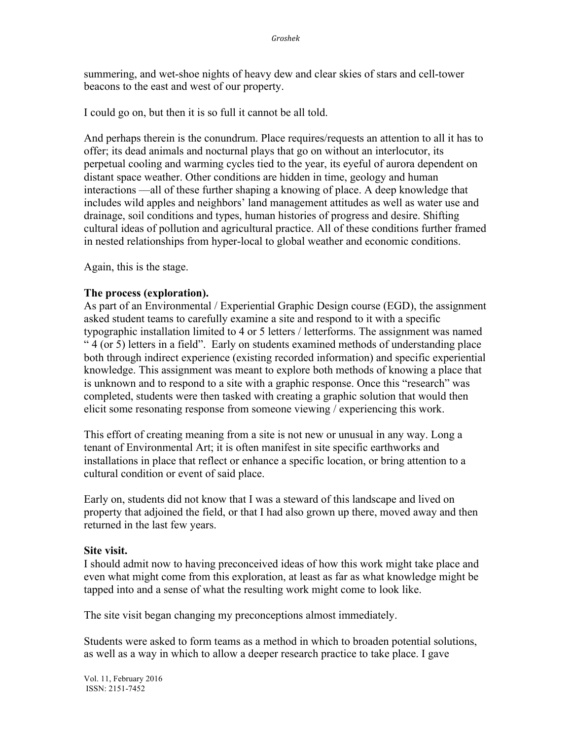summering, and wet-shoe nights of heavy dew and clear skies of stars and cell-tower beacons to the east and west of our property.

I could go on, but then it is so full it cannot be all told.

And perhaps therein is the conundrum. Place requires/requests an attention to all it has to offer; its dead animals and nocturnal plays that go on without an interlocutor, its perpetual cooling and warming cycles tied to the year, its eyeful of aurora dependent on distant space weather. Other conditions are hidden in time, geology and human interactions —all of these further shaping a knowing of place. A deep knowledge that includes wild apples and neighbors' land management attitudes as well as water use and drainage, soil conditions and types, human histories of progress and desire. Shifting cultural ideas of pollution and agricultural practice. All of these conditions further framed in nested relationships from hyper-local to global weather and economic conditions.

Again, this is the stage.

### **The process (exploration).**

As part of an Environmental / Experiential Graphic Design course (EGD), the assignment asked student teams to carefully examine a site and respond to it with a specific typographic installation limited to 4 or 5 letters / letterforms. The assignment was named " 4 (or 5) letters in a field". Early on students examined methods of understanding place both through indirect experience (existing recorded information) and specific experiential knowledge. This assignment was meant to explore both methods of knowing a place that is unknown and to respond to a site with a graphic response. Once this "research" was completed, students were then tasked with creating a graphic solution that would then elicit some resonating response from someone viewing / experiencing this work.

This effort of creating meaning from a site is not new or unusual in any way. Long a tenant of Environmental Art; it is often manifest in site specific earthworks and installations in place that reflect or enhance a specific location, or bring attention to a cultural condition or event of said place.

Early on, students did not know that I was a steward of this landscape and lived on property that adjoined the field, or that I had also grown up there, moved away and then returned in the last few years.

#### **Site visit.**

I should admit now to having preconceived ideas of how this work might take place and even what might come from this exploration, at least as far as what knowledge might be tapped into and a sense of what the resulting work might come to look like.

The site visit began changing my preconceptions almost immediately.

Students were asked to form teams as a method in which to broaden potential solutions, as well as a way in which to allow a deeper research practice to take place. I gave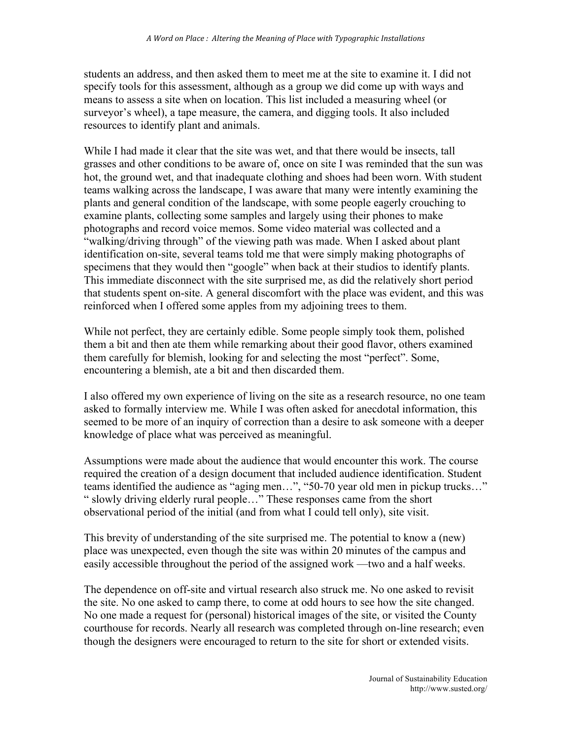students an address, and then asked them to meet me at the site to examine it. I did not specify tools for this assessment, although as a group we did come up with ways and means to assess a site when on location. This list included a measuring wheel (or surveyor's wheel), a tape measure, the camera, and digging tools. It also included resources to identify plant and animals.

While I had made it clear that the site was wet, and that there would be insects, tall grasses and other conditions to be aware of, once on site I was reminded that the sun was hot, the ground wet, and that inadequate clothing and shoes had been worn. With student teams walking across the landscape, I was aware that many were intently examining the plants and general condition of the landscape, with some people eagerly crouching to examine plants, collecting some samples and largely using their phones to make photographs and record voice memos. Some video material was collected and a "walking/driving through" of the viewing path was made. When I asked about plant identification on-site, several teams told me that were simply making photographs of specimens that they would then "google" when back at their studios to identify plants. This immediate disconnect with the site surprised me, as did the relatively short period that students spent on-site. A general discomfort with the place was evident, and this was reinforced when I offered some apples from my adjoining trees to them.

While not perfect, they are certainly edible. Some people simply took them, polished them a bit and then ate them while remarking about their good flavor, others examined them carefully for blemish, looking for and selecting the most "perfect". Some, encountering a blemish, ate a bit and then discarded them.

I also offered my own experience of living on the site as a research resource, no one team asked to formally interview me. While I was often asked for anecdotal information, this seemed to be more of an inquiry of correction than a desire to ask someone with a deeper knowledge of place what was perceived as meaningful.

Assumptions were made about the audience that would encounter this work. The course required the creation of a design document that included audience identification. Student teams identified the audience as "aging men…", "50-70 year old men in pickup trucks…" " slowly driving elderly rural people…" These responses came from the short observational period of the initial (and from what I could tell only), site visit.

This brevity of understanding of the site surprised me. The potential to know a (new) place was unexpected, even though the site was within 20 minutes of the campus and easily accessible throughout the period of the assigned work —two and a half weeks.

The dependence on off-site and virtual research also struck me. No one asked to revisit the site. No one asked to camp there, to come at odd hours to see how the site changed. No one made a request for (personal) historical images of the site, or visited the County courthouse for records. Nearly all research was completed through on-line research; even though the designers were encouraged to return to the site for short or extended visits.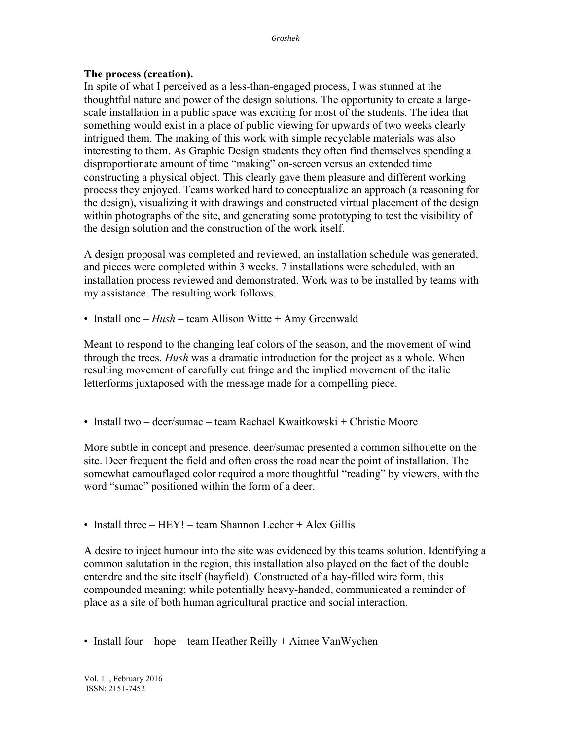#### **The process (creation).**

In spite of what I perceived as a less-than-engaged process, I was stunned at the thoughtful nature and power of the design solutions. The opportunity to create a largescale installation in a public space was exciting for most of the students. The idea that something would exist in a place of public viewing for upwards of two weeks clearly intrigued them. The making of this work with simple recyclable materials was also interesting to them. As Graphic Design students they often find themselves spending a disproportionate amount of time "making" on-screen versus an extended time constructing a physical object. This clearly gave them pleasure and different working process they enjoyed. Teams worked hard to conceptualize an approach (a reasoning for the design), visualizing it with drawings and constructed virtual placement of the design within photographs of the site, and generating some prototyping to test the visibility of the design solution and the construction of the work itself.

A design proposal was completed and reviewed, an installation schedule was generated, and pieces were completed within 3 weeks. 7 installations were scheduled, with an installation process reviewed and demonstrated. Work was to be installed by teams with my assistance. The resulting work follows.

• Install one – *Hush* – team Allison Witte + Amy Greenwald

Meant to respond to the changing leaf colors of the season, and the movement of wind through the trees. *Hush* was a dramatic introduction for the project as a whole. When resulting movement of carefully cut fringe and the implied movement of the italic letterforms juxtaposed with the message made for a compelling piece.

• Install two – deer/sumac – team Rachael Kwaitkowski + Christie Moore

More subtle in concept and presence, deer/sumac presented a common silhouette on the site. Deer frequent the field and often cross the road near the point of installation. The somewhat camouflaged color required a more thoughtful "reading" by viewers, with the word "sumac" positioned within the form of a deer.

• Install three  $-$  HEY! – team Shannon Lecher  $+$  Alex Gillis

A desire to inject humour into the site was evidenced by this teams solution. Identifying a common salutation in the region, this installation also played on the fact of the double entendre and the site itself (hayfield). Constructed of a hay-filled wire form, this compounded meaning; while potentially heavy-handed, communicated a reminder of place as a site of both human agricultural practice and social interaction.

• Install four – hope – team Heather Reilly + Aimee VanWychen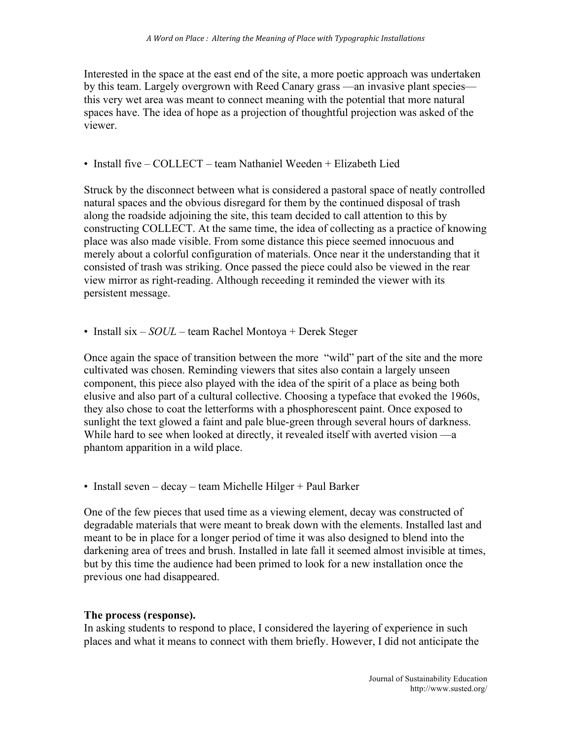Interested in the space at the east end of the site, a more poetic approach was undertaken by this team. Largely overgrown with Reed Canary grass —an invasive plant species this very wet area was meant to connect meaning with the potential that more natural spaces have. The idea of hope as a projection of thoughtful projection was asked of the viewer.

# • Install five – COLLECT – team Nathaniel Weeden + Elizabeth Lied

Struck by the disconnect between what is considered a pastoral space of neatly controlled natural spaces and the obvious disregard for them by the continued disposal of trash along the roadside adjoining the site, this team decided to call attention to this by constructing COLLECT. At the same time, the idea of collecting as a practice of knowing place was also made visible. From some distance this piece seemed innocuous and merely about a colorful configuration of materials. Once near it the understanding that it consisted of trash was striking. Once passed the piece could also be viewed in the rear view mirror as right-reading. Although receeding it reminded the viewer with its persistent message.

• Install six – *SOUL* – team Rachel Montoya + Derek Steger

Once again the space of transition between the more "wild" part of the site and the more cultivated was chosen. Reminding viewers that sites also contain a largely unseen component, this piece also played with the idea of the spirit of a place as being both elusive and also part of a cultural collective. Choosing a typeface that evoked the 1960s, they also chose to coat the letterforms with a phosphorescent paint. Once exposed to sunlight the text glowed a faint and pale blue-green through several hours of darkness. While hard to see when looked at directly, it revealed itself with averted vision —a phantom apparition in a wild place.

• Install seven – decay – team Michelle Hilger + Paul Barker

One of the few pieces that used time as a viewing element, decay was constructed of degradable materials that were meant to break down with the elements. Installed last and meant to be in place for a longer period of time it was also designed to blend into the darkening area of trees and brush. Installed in late fall it seemed almost invisible at times, but by this time the audience had been primed to look for a new installation once the previous one had disappeared.

# **The process (response).**

In asking students to respond to place, I considered the layering of experience in such places and what it means to connect with them briefly. However, I did not anticipate the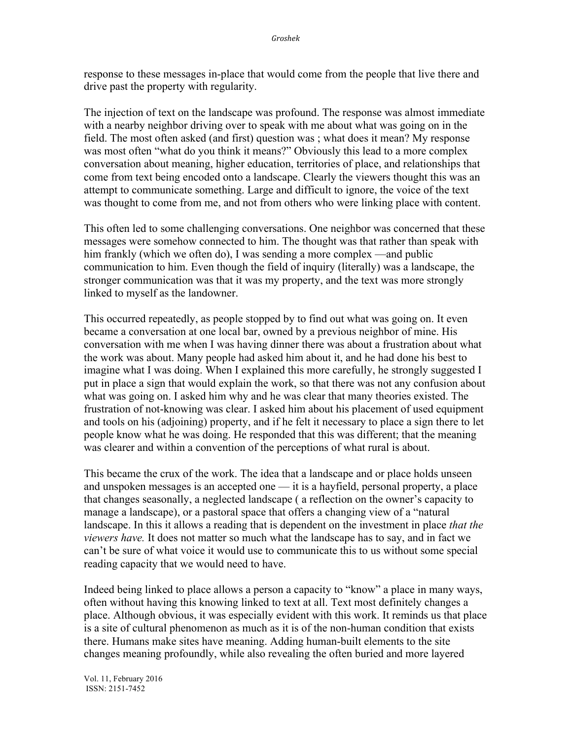response to these messages in-place that would come from the people that live there and drive past the property with regularity.

The injection of text on the landscape was profound. The response was almost immediate with a nearby neighbor driving over to speak with me about what was going on in the field. The most often asked (and first) question was ; what does it mean? My response was most often "what do you think it means?" Obviously this lead to a more complex conversation about meaning, higher education, territories of place, and relationships that come from text being encoded onto a landscape. Clearly the viewers thought this was an attempt to communicate something. Large and difficult to ignore, the voice of the text was thought to come from me, and not from others who were linking place with content.

This often led to some challenging conversations. One neighbor was concerned that these messages were somehow connected to him. The thought was that rather than speak with him frankly (which we often do), I was sending a more complex —and public communication to him. Even though the field of inquiry (literally) was a landscape, the stronger communication was that it was my property, and the text was more strongly linked to myself as the landowner.

This occurred repeatedly, as people stopped by to find out what was going on. It even became a conversation at one local bar, owned by a previous neighbor of mine. His conversation with me when I was having dinner there was about a frustration about what the work was about. Many people had asked him about it, and he had done his best to imagine what I was doing. When I explained this more carefully, he strongly suggested I put in place a sign that would explain the work, so that there was not any confusion about what was going on. I asked him why and he was clear that many theories existed. The frustration of not-knowing was clear. I asked him about his placement of used equipment and tools on his (adjoining) property, and if he felt it necessary to place a sign there to let people know what he was doing. He responded that this was different; that the meaning was clearer and within a convention of the perceptions of what rural is about.

This became the crux of the work. The idea that a landscape and or place holds unseen and unspoken messages is an accepted one — it is a hayfield, personal property, a place that changes seasonally, a neglected landscape ( a reflection on the owner's capacity to manage a landscape), or a pastoral space that offers a changing view of a "natural landscape. In this it allows a reading that is dependent on the investment in place *that the viewers have.* It does not matter so much what the landscape has to say, and in fact we can't be sure of what voice it would use to communicate this to us without some special reading capacity that we would need to have.

Indeed being linked to place allows a person a capacity to "know" a place in many ways, often without having this knowing linked to text at all. Text most definitely changes a place. Although obvious, it was especially evident with this work. It reminds us that place is a site of cultural phenomenon as much as it is of the non-human condition that exists there. Humans make sites have meaning. Adding human-built elements to the site changes meaning profoundly, while also revealing the often buried and more layered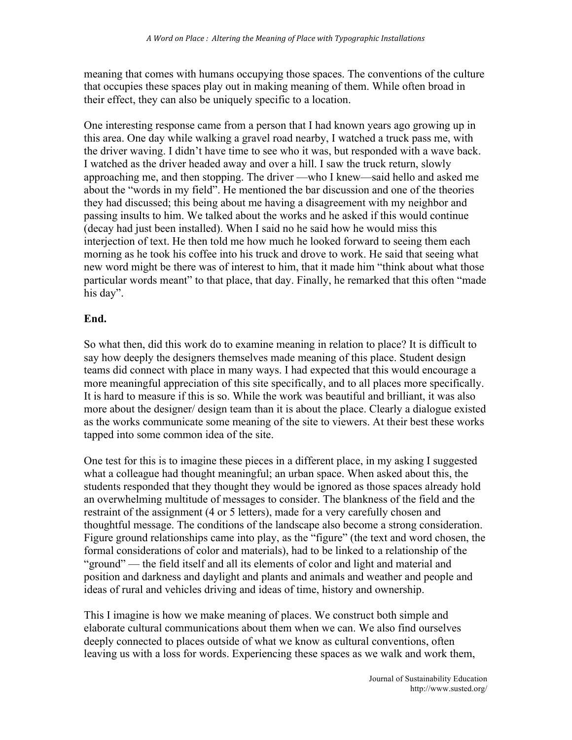meaning that comes with humans occupying those spaces. The conventions of the culture that occupies these spaces play out in making meaning of them. While often broad in their effect, they can also be uniquely specific to a location.

One interesting response came from a person that I had known years ago growing up in this area. One day while walking a gravel road nearby, I watched a truck pass me, with the driver waving. I didn't have time to see who it was, but responded with a wave back. I watched as the driver headed away and over a hill. I saw the truck return, slowly approaching me, and then stopping. The driver —who I knew—said hello and asked me about the "words in my field". He mentioned the bar discussion and one of the theories they had discussed; this being about me having a disagreement with my neighbor and passing insults to him. We talked about the works and he asked if this would continue (decay had just been installed). When I said no he said how he would miss this interjection of text. He then told me how much he looked forward to seeing them each morning as he took his coffee into his truck and drove to work. He said that seeing what new word might be there was of interest to him, that it made him "think about what those particular words meant" to that place, that day. Finally, he remarked that this often "made his day".

#### **End.**

So what then, did this work do to examine meaning in relation to place? It is difficult to say how deeply the designers themselves made meaning of this place. Student design teams did connect with place in many ways. I had expected that this would encourage a more meaningful appreciation of this site specifically, and to all places more specifically. It is hard to measure if this is so. While the work was beautiful and brilliant, it was also more about the designer/ design team than it is about the place. Clearly a dialogue existed as the works communicate some meaning of the site to viewers. At their best these works tapped into some common idea of the site.

One test for this is to imagine these pieces in a different place, in my asking I suggested what a colleague had thought meaningful; an urban space. When asked about this, the students responded that they thought they would be ignored as those spaces already hold an overwhelming multitude of messages to consider. The blankness of the field and the restraint of the assignment (4 or 5 letters), made for a very carefully chosen and thoughtful message. The conditions of the landscape also become a strong consideration. Figure ground relationships came into play, as the "figure" (the text and word chosen, the formal considerations of color and materials), had to be linked to a relationship of the "ground" — the field itself and all its elements of color and light and material and position and darkness and daylight and plants and animals and weather and people and ideas of rural and vehicles driving and ideas of time, history and ownership.

This I imagine is how we make meaning of places. We construct both simple and elaborate cultural communications about them when we can. We also find ourselves deeply connected to places outside of what we know as cultural conventions, often leaving us with a loss for words. Experiencing these spaces as we walk and work them,